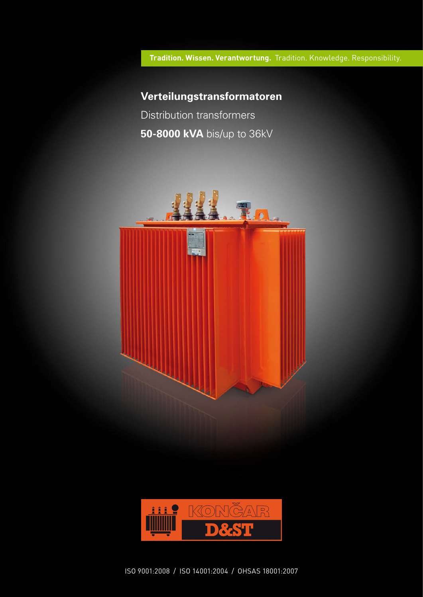Tradition. Wissen. Verantwortung. Tradition. Knowledge. Responsibility.

# **Verteilungstransformatoren**

Distribution transformers **50-8000 kVA** bis/up to 36kV





ISO 9001:2008 / ISO 14001:2004 / OHSAS 18001:2007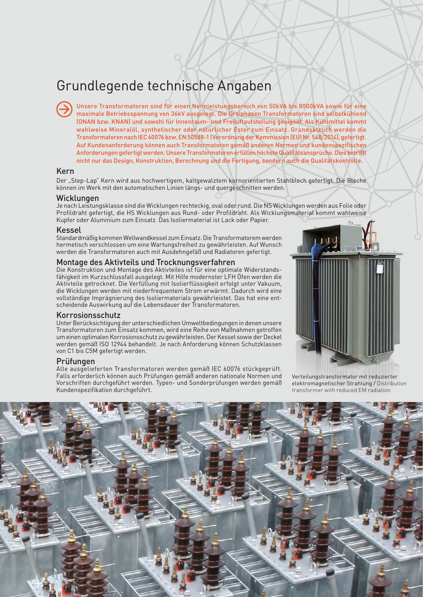# Grundlegende technische Angaben

Unsere Transformatoren sind für einen Nennleistungsbereich von 50kVA bis 8000kVA sowie für eine maximale Betriebsspannung von 36kV ausgelegt. Die Dreiphasen Transformatoren sind selbstkühlend (ONAN bzw. KNAN) und sowohl für Innenraum- und Freiluftaufstellung geeignet. Als Kühlmittel kommt wahlweise Mineralöl, synthetischer oder natürlicher Ester zum Einsatz. Grundsätzlich werden die Transformatoren nach IEC 60076 bzw. EN 50588-1 (Verordnung der Kommission (EU) Nr. 548/2014), gefertigt. Auf Kundenanforderung können auch Transformatoren gemäß anderen Normen und kundenspezifischen Anforderungen gefertigt werden. Unsere Transformatoren erfüllen höchste Qualitätsansprüche. Dies betrifft nicht nur das Design, Konstruktion, Berechnung und die Fertigung, sondern auch die Qualitätskontrolle.

# Kern

Der "Step-Lap" Kern wird aus hochwertigem, kaltgewalztem kornorientierten Stahlblech gefertigt. Die Bleche können im Werk mit den automatischen Linien längs- und quergeschnitten werden.

#### Wicklungen

Je nach Leistungsklasse sind die Wicklungen rechteckig, oval oder rund. Die NS Wicklungen werden aus Folie oder Profildraht gefertigt, die HS Wicklungen aus Rund- oder Profildraht. Als Wicklungsmaterial kommt wahlweise Kupfer oder Aluminium zum Einsatz. Das Isoliermaterial ist Lack oder Papier.

#### Kessel

Standardmäßig kommen Wellwandkessel zum Einsatz. Die Transformatorem werden hermetisch verschlossen um eine Wartungsfreiheit zu gewährleisten. Auf Wunsch werden die Transformatoren auch mit Ausdehngefäß und Radiatoren gefertigt.

#### Montage des Aktivteils und Trocknungsverfahren

Die Konstruktion und Montage des Aktivteiles ist für eine optimale Widerstandsfähigkeit im Kurzschlussfall ausgelegt. Mit Hilfe modernster LFH Öfen werden die Aktivteile getrocknet. Die Verfüllung mit Isolierflüssigkeit erfolgt unter Vakuum, die Wicklungen werden mit niederfrequentem Strom erwärmt. Dadurch wird eine vollständige Imprägnierung des Isoliermaterials gewährleistet. Das hat eine entscheidende Auswirkung auf die Lebensdauer der Transformatoren.

### Korrosionsschutz

Unter Berücksichtigung der unterschiedlichen Umweltbedingungen in denen unsere Transformatoren zum Einsatz kommen, wird eine Reihe von Maßnahmen getroffen um einen optimalen Korrosionsschutz zu gewährleisten. Der Kessel sowie der Deckel werden gemäß ISO 12944 behandelt. Je nach Anforderung können Schutzklassen von C1 bis C5M gefertigt werden.

#### Prüfungen

Alle ausgelieferten Transformatoren werden gemäß IEC 60076 stückgeprüft. Falls erforderlich können auch Prüfungen gemäß anderen nationale Normen und Vorschriften durchgeführt werden. Typen- und Sonderprüfungen werden gemäß Kundenspezifikation durchgeführt.



Verteilungstransformator mit reduzierter elektromagnetischer Strahlung / Distribution transformer with reduced EM radiation

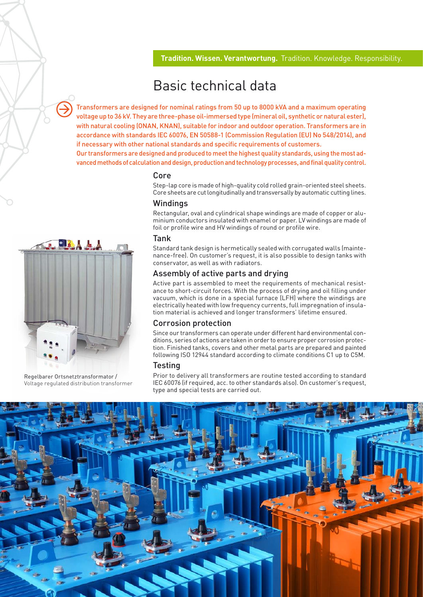# Basic technical data

Transformers are designed for nominal ratings from 50 up to 8000 kVA and a maximum operating voltage up to 36 kV. They are three-phase oil-immersed type (mineral oil, synthetic or natural ester), with natural cooling (ONAN, KNAN), suitable for indoor and outdoor operation. Transformers are in accordance with standards IEC 60076, EN 50588-1 (Commission Regulation (EU) No 548/2014), and if necessary with other national standards and specific requirements of customers.

Our transformers are designed and produced to meet the highest quality standards, using the most advanced methods of calculation and design, production and technology processes, and final quality control.

### Core

Step-lap core is made of high-quality cold rolled grain-oriented steel sheets. Core sheets are cut longitudinally and transversally by automatic cutting lines.

### **Windings**

Rectangular, oval and cylindrical shape windings are made of copper or aluminium conductors insulated with enamel or paper. LV windings are made of foil or profile wire and HV windings of round or profile wire.

#### Tank

Standard tank design is hermetically sealed with corrugated walls (maintenance-free). On customer's request, it is also possible to design tanks with conservator, as well as with radiators.

### Assembly of active parts and drying

Active part is assembled to meet the requirements of mechanical resistance to short-circuit forces. With the process of drying and oil filling under vacuum, which is done in a special furnace (LFH) where the windings are electrically heated with low frequency currents, full impregnation of insulation material is achieved and longer transformers' lifetime ensured.

### Corrosion protection

Since our transformers can operate under different hard environmental conditions, series of actions are taken in order to ensure proper corrosion protection. Finished tanks, covers and other metal parts are prepared and painted following ISO 12944 standard according to climate conditions C1 up to C5M.

# **Testing**

Prior to delivery all transformers are routine tested according to standard IEC 60076 (if required, acc. to other standards also). On customer's request, type and special tests are carried out.





Regelbarer Ortsnetztransformator / Voltage regulated distribution transformer